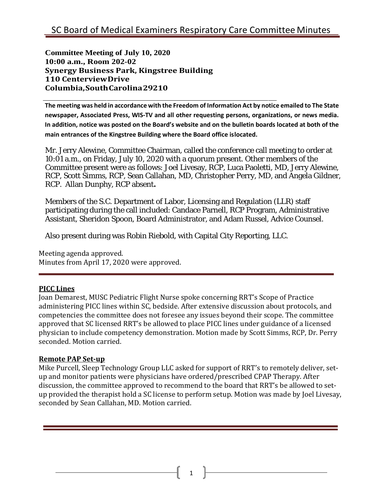**Committee Meeting of July 10, 2020 10:00 a.m., Room 202-02 Synergy Business Park, Kingstree Building 110 CenterviewDrive Columbia,SouthCarolina29210**

**The meeting was held in accordance with the Freedom of Information Act by notice emailed to The State newspaper, Associated Press, WIS-TV and all other requesting persons, organizations, or news media. In addition, notice was posted on the Board's website and on the bulletin boards located at both of the main entrances of the Kingstree Building where the Board office islocated.**

Mr. Jerry Alewine, Committee Chairman, called the conference call meeting to order at 10:01 a.m., on Friday, July 10, 2020 with a quorum present. Other members of the Committee present were as follows: Joel Livesay, RCP, Luca Paoletti, MD, Jerry Alewine, RCP, Scott Simms, RCP, Sean Callahan, MD, Christopher Perry, MD, and Angela Gildner, RCP. Allan Dunphy, RCP absent**.**

Members of the S.C. Department of Labor, Licensing and Regulation (LLR) staff participating during the call included: Candace Parnell, RCP Program, Administrative Assistant, Sheridon Spoon, Board Administrator, and Adam Russel, Advice Counsel.

Also present during was Robin Riebold, with Capital City Reporting, LLC.

Meeting agenda approved. Minutes from April 17, 2020 were approved.

## **PICC Lines**

Joan Demarest, MUSC Pediatric Flight Nurse spoke concerning RRT's Scope of Practice administering PICC lines within SC, bedside. After extensive discussion about protocols, and competencies the committee does not foresee any issues beyond their scope. The committee approved that SC licensed RRT's be allowed to place PICC lines under guidance of a licensed physician to include competency demonstration. Motion made by Scott Simms, RCP, Dr. Perry seconded. Motion carried.

## **Remote PAP Set-up**

Mike Purcell, Sleep Technology Group LLC asked for support of RRT's to remotely deliver, setup and monitor patients were physicians have ordered/prescribed CPAP Therapy. After discussion, the committee approved to recommend to the board that RRT's be allowed to setup provided the therapist hold a SC license to perform setup. Motion was made by Joel Livesay, seconded by Sean Callahan, MD. Motion carried.

1